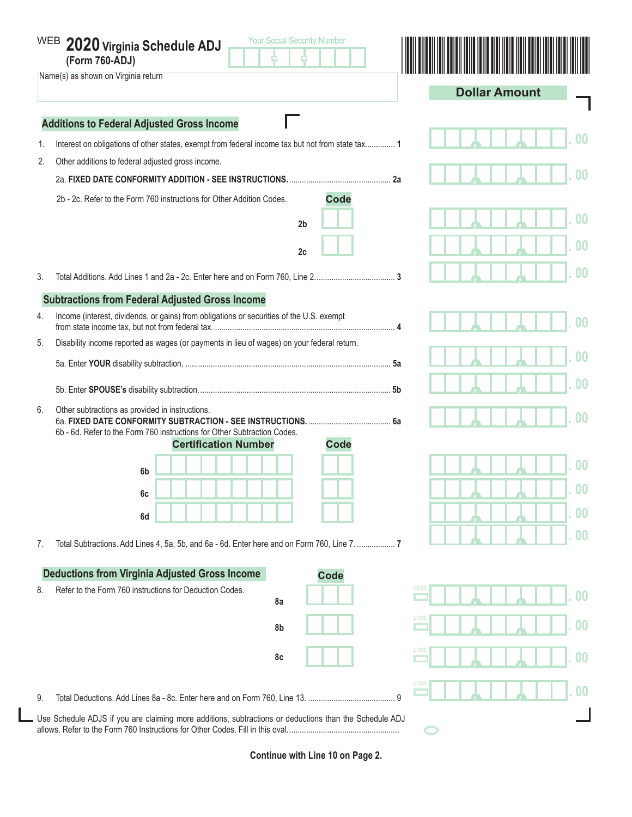|                                                                      | <b>Your Social Security Number</b><br>WEB 2020 Virginia Schedule ADJ<br>(Form 760-ADJ)<br>Name(s) as shown on Virginia return                                             | <b>Dollar Amount</b>      |  |  |  |  |
|----------------------------------------------------------------------|---------------------------------------------------------------------------------------------------------------------------------------------------------------------------|---------------------------|--|--|--|--|
|                                                                      | <b>Additions to Federal Adjusted Gross Income</b>                                                                                                                         |                           |  |  |  |  |
| 1.                                                                   | Interest on obligations of other states, exempt from federal income tax but not from state tax 1                                                                          |                           |  |  |  |  |
| 2.                                                                   | Other additions to federal adjusted gross income.                                                                                                                         |                           |  |  |  |  |
|                                                                      |                                                                                                                                                                           | 00                        |  |  |  |  |
|                                                                      | <b>Code</b><br>2b - 2c. Refer to the Form 760 instructions for Other Addition Codes.                                                                                      |                           |  |  |  |  |
|                                                                      | 2 <sub>b</sub>                                                                                                                                                            |                           |  |  |  |  |
|                                                                      | 2c                                                                                                                                                                        | 00                        |  |  |  |  |
| 3.                                                                   |                                                                                                                                                                           | 00                        |  |  |  |  |
|                                                                      |                                                                                                                                                                           |                           |  |  |  |  |
| 4.                                                                   | <b>Subtractions from Federal Adjusted Gross Income</b><br>Income (interest, dividends, or gains) from obligations or securities of the U.S. exempt                        |                           |  |  |  |  |
|                                                                      |                                                                                                                                                                           | $00 \,$                   |  |  |  |  |
| 5.                                                                   | Disability income reported as wages (or payments in lieu of wages) on your federal return.                                                                                |                           |  |  |  |  |
|                                                                      |                                                                                                                                                                           | 00                        |  |  |  |  |
|                                                                      |                                                                                                                                                                           | በበ                        |  |  |  |  |
| 6.                                                                   | Other subtractions as provided in instructions.<br>6b - 6d. Refer to the Form 760 instructions for Other Subtraction Codes.<br><b>Certification Number</b><br><b>Code</b> |                           |  |  |  |  |
|                                                                      |                                                                                                                                                                           | 00                        |  |  |  |  |
|                                                                      | 6b                                                                                                                                                                        |                           |  |  |  |  |
|                                                                      | 6c                                                                                                                                                                        | 00                        |  |  |  |  |
|                                                                      | 6d                                                                                                                                                                        | 0 <sub>0</sub>            |  |  |  |  |
| 7.                                                                   | Total Subtractions. Add Lines 4, 5a, 5b, and 6a - 6d. Enter here and on Form 760, Line 7.                                                                                 | 0 <sub>0</sub>            |  |  |  |  |
| <b>Deductions from Virginia Adjusted Gross Income</b><br><b>Code</b> |                                                                                                                                                                           |                           |  |  |  |  |
| 8.                                                                   | Refer to the Form 760 instructions for Deduction Codes.                                                                                                                   | LOSS<br>00                |  |  |  |  |
|                                                                      | 8a                                                                                                                                                                        |                           |  |  |  |  |
|                                                                      | 8b                                                                                                                                                                        | LOSS<br>$\boldsymbol{00}$ |  |  |  |  |
|                                                                      | 8c                                                                                                                                                                        | LOSS<br>$\bf{00}$         |  |  |  |  |
| 9.                                                                   |                                                                                                                                                                           | LOSS<br>00                |  |  |  |  |
|                                                                      | Use Schedule ADJS if you are claiming more additions, subtractions or deductions than the Schedule ADJ                                                                    |                           |  |  |  |  |

**Continue with Line 10 on Page 2.**